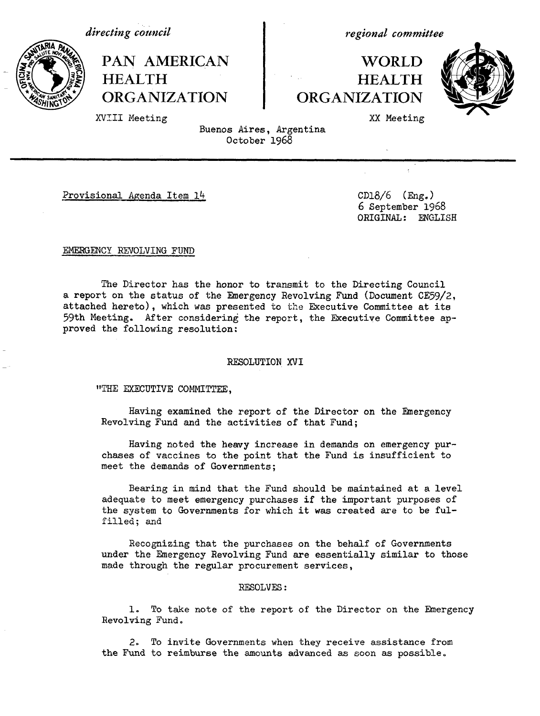*directing council* 

**HEALTH**

XVIII Meeting

**PAN AMERICAN**

**ORGANIZATION**

*regional committee*

# **WORLD HEALTH ORGANIZATION**



XX Meeting

Buenos Aires, Argentina October 1968

Provisional Agenda Item 14 CD18/6 (Eng.)

6 September 1968 ORIGINAL: ENGLISH

#### EMERGENCY REVOLVING FUND

The Director has the honor to transmit to the Directing Council a report on the status of the Emergency Revolving Fund (Document CE59/2, attached hereto), which was presented to the Executive Committee at its 59th Meeting. After considering the report, the Executive Committee approved the following resolution:

#### RESOLUTION XVI

"THE EXECUTIVE COMMITTEE,

Having examined the report of the Director on the Emergency Revolving Fund and the activities of that Fund;

Having noted the heavy increase in demands on emergency purchases of vaccines to the point that the Fund is insufficient to meet the demands of Governments;

Bearing in mind that the Fund should be maintained at a level adequate to meet emergency purchases if the important purposes of the system to Governments for which it was created are to be fulfilled; and

Recognizing that the purchases on the behalf of Governments under the Emergency Revolving Fund are essentially similar to those made through the regular procurement services,

#### RESOLVES:

1. To take note of the report of the Director on the Emergency Revolving Fund.

2. To invite Governments when they receive assistance from the Fund to reimburse the amounts advanced as soon as possible.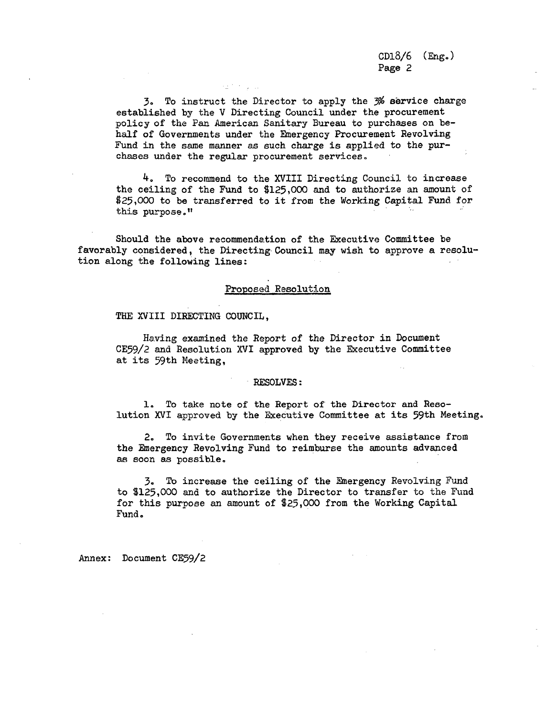CD18/6 (Eng.) Page 2

3. To instruct the Director to apply the 3% service charge established by the V Directing Council under the procurement policy of the Pan American Sanitary Bureau to purchases on behalf of Governments under the Emergency Procurement Revolving Fund in the same manner as such charge is applied to the purchases under the regular procurement services.

an Kalu

4. To recommend to the XVIII Directing Council to increase the ceiling of the Fund to \$125,000 and to authorize an amount of \$25,000 to be transferred to it from the Working Capital Fund for this purpose."

Should the above recommendation of the Executive Committee be favorably considered, the Directing Council may wish to approve a resolution along the following lines:

#### Proposed Resolution

#### THE XVIII DIRECTING COUNCIL.

Having examined the Report of the Director in Document CE59/2 and Resolution XVI approved by the Executive Committee at its 59th Meeting,

#### RESOLVES:

1. To take note of the Report of the Director and Resolution XVI approved by the Executive Committee at its 59th Meeting.

2. To invite Governments when they receive assistance from the Emergency Revolving Fund to reimburse the amounts advanced as soon as possible.

3. To increase the ceiling of the Emergency Revolving Fund to \$125,000 and to authorize the Director to transfer to the Fund for this purpose an amount of \$25,000 from the Working Capital Fund .

Annex: Document CE59/2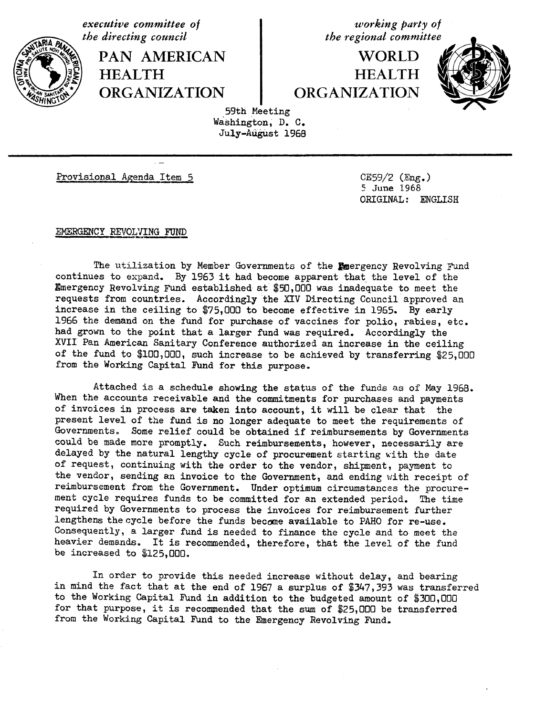*executive committee of*<br> *the directing council*<br> *the regional committee* 

PAN AMERICAN | WORLD **HEALTH HEALTH** / **ORGANIZATION ORGANIZATION**

*the regional committee* 



59th Meeting Washington, D. C. July-August 1968

Provisional Agenda Item 5 CE59/2 (Eng.)

5 June 1968 ORIGINAL: ENGLISH

EMERGENCY REVOLVING FUND

The utilization by Member Governments of the Emergency Revolving Fund continues to expand. By 1963 it had become apparent that the level of the Emergency Revolving Fund established at \$50,000 was inadequate to meet the requests from countries. Accordingly the XIV Directing Council approved an increase in the ceiling to \$75,000 to become effective in 1965. By early 1966 the demand on the fund for purchase of vaccines for polio, rabies, etc. had grown to the point that a larger fund was required. Accordingly the XVII Pan American Sanitary Conference authorized an increase in the ceiling of the fund to \$100,000, such increase to be achieved by transferring \$25,000 from the Working Capital Fund for this purpose.

Attached is a schedule showing the status of the funds as of May 1968. When the accounts receivable and the commitments for purchases and payments of invoices in process are taken into account, it will be clear that the present level of the fund is no longer adequate to meet the requirements of Governments, Some relief could be obtained if reimbursements by Governments could be made more promptly. Such reimbursements, however, necessarily are delayed by the natural lengthy cycle of procurement starting with the date of request, continuing with the order to the vendor, shipment, payment to the vendor, sending an invoice to the Government, and ending with receipt of reimbursement from the Government. Under optimum circumstances the procurement cycle requires funds to be committed for an extended period. The time required by Governments to process the invoices for reimbursement further lengthens the cycle before the funds become available to PAHO for re-use. Consequently, a larger fund is needed to finance the cycle and to meet the heavier demands. It is recommended, therefore, that the level of the fund be increased to \$125,000.

In order to provide this needed increase without delay, and bearing in mind the fact that at the end of 1967 a surplus of \$347,393 was transferred to the Working Capital Fund in addition to the budgeted amount of \$300,000 for that purpose, it is recommended that the sum of \$25,000 be transferred from the Working Capital Fund to the Emergency Revolving Fund.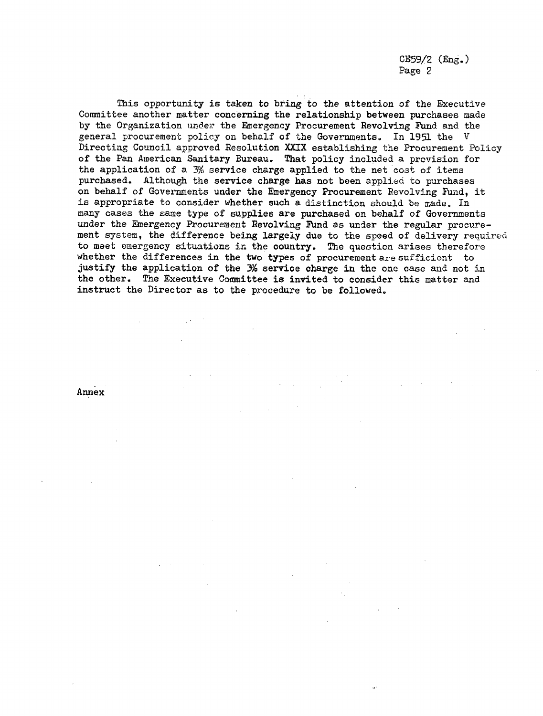CE59/2 (Eng.) Page 2

This opportunity is taken to bring to the attention of the Executive Committee another matter concerning the relationship between purchases made by the Organization under the Emergency Procurement Revolving Fund and the general procurement policy on behalf of the Governments. In 1951 the V Directing Council approved Resolution XXIX establishing the Procurement Policy of the Pan American Sanitary Bureau. That policy included a provision for the application of a 3% service charge applied to the net cost of items purchased. Although the service charge has not been applied to purchases on behalf of Governments under the Emergency Procurement Revolving Fund, it is appropriate to consider whether such a distinction should be made. In many cases the same type of supplies are purchased on behalf of Governments under the Emergency Procurement Revolving Fund as under the regular procurement system, the difference being largely due to the speed of delivery required to meet emergency situations in the country. The question arises therefore whether the differences in the two types of procurement are sufficient to justify the application of the  $3\%$  service charge in the one case and not in the other. The Executive Committee is invited to consider this matter and instruct the Director as to the procedure to be followed.

Annex